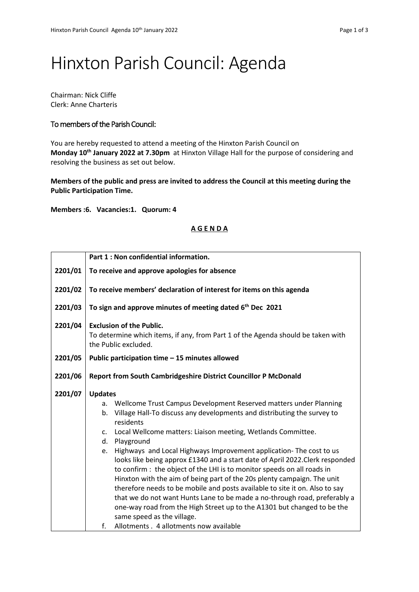## Hinxton Parish Council: Agenda

Chairman: Nick Cliffe Clerk: Anne Charteris

## To members of the Parish Council:

You are hereby requested to attend a meeting of the Hinxton Parish Council on **Monday 10th January 2022 at 7.30pm** at Hinxton Village Hall for the purpose of considering and resolving the business as set out below.

**Members of the public and press are invited to address the Council at this meeting during the Public Participation Time.**

**Members :6. Vacancies:1. Quorum: 4**

## **A G E N D A**

|         | Part 1 : Non confidential information.                                                                                                                   |  |  |  |
|---------|----------------------------------------------------------------------------------------------------------------------------------------------------------|--|--|--|
| 2201/01 | To receive and approve apologies for absence                                                                                                             |  |  |  |
| 2201/02 | To receive members' declaration of interest for items on this agenda                                                                                     |  |  |  |
| 2201/03 | To sign and approve minutes of meeting dated 6 <sup>th</sup> Dec 2021                                                                                    |  |  |  |
| 2201/04 | <b>Exclusion of the Public.</b><br>To determine which items, if any, from Part 1 of the Agenda should be taken with<br>the Public excluded.              |  |  |  |
| 2201/05 | Public participation time - 15 minutes allowed                                                                                                           |  |  |  |
| 2201/06 | Report from South Cambridgeshire District Councillor P McDonald                                                                                          |  |  |  |
| 2201/07 | <b>Updates</b>                                                                                                                                           |  |  |  |
|         | a. Wellcome Trust Campus Development Reserved matters under Planning                                                                                     |  |  |  |
|         | Village Hall-To discuss any developments and distributing the survey to<br>b.<br>residents                                                               |  |  |  |
|         | Local Wellcome matters: Liaison meeting, Wetlands Committee.<br>c.                                                                                       |  |  |  |
|         | Playground<br>d.                                                                                                                                         |  |  |  |
|         | Highways and Local Highways Improvement application- The cost to us<br>e.                                                                                |  |  |  |
|         | looks like being approx £1340 and a start date of April 2022. Clerk responded<br>to confirm : the object of the LHI is to monitor speeds on all roads in |  |  |  |
|         | Hinxton with the aim of being part of the 20s plenty campaign. The unit                                                                                  |  |  |  |
|         | therefore needs to be mobile and posts available to site it on. Also to say                                                                              |  |  |  |
|         | that we do not want Hunts Lane to be made a no-through road, preferably a                                                                                |  |  |  |
|         | one-way road from the High Street up to the A1301 but changed to be the<br>same speed as the village.                                                    |  |  |  |
|         | Allotments . 4 allotments now available<br>f.                                                                                                            |  |  |  |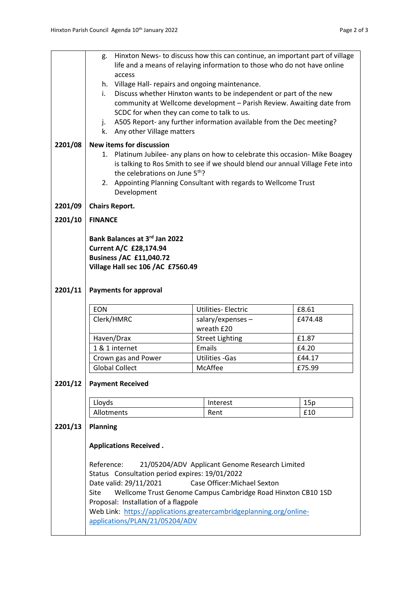|         |                                      | g. Hinxton News-to discuss how this can continue, an important part of village<br>life and a means of relaying information to those who do not have online |                                                                    |         |  |  |  |
|---------|--------------------------------------|------------------------------------------------------------------------------------------------------------------------------------------------------------|--------------------------------------------------------------------|---------|--|--|--|
|         |                                      | access                                                                                                                                                     |                                                                    |         |  |  |  |
|         |                                      | h. Village Hall- repairs and ongoing maintenance.                                                                                                          |                                                                    |         |  |  |  |
|         | i.                                   |                                                                                                                                                            | Discuss whether Hinxton wants to be independent or part of the new |         |  |  |  |
|         |                                      | community at Wellcome development - Parish Review. Awaiting date from<br>SCDC for when they can come to talk to us.                                        |                                                                    |         |  |  |  |
|         | j.                                   | A505 Report- any further information available from the Dec meeting?                                                                                       |                                                                    |         |  |  |  |
|         |                                      | k. Any other Village matters                                                                                                                               |                                                                    |         |  |  |  |
| 2201/08 |                                      | <b>New items for discussion</b>                                                                                                                            |                                                                    |         |  |  |  |
|         |                                      | 1. Platinum Jubilee- any plans on how to celebrate this occasion- Mike Boagey                                                                              |                                                                    |         |  |  |  |
|         |                                      | is talking to Ros Smith to see if we should blend our annual Village Fete into                                                                             |                                                                    |         |  |  |  |
|         |                                      | the celebrations on June 5th?                                                                                                                              |                                                                    |         |  |  |  |
|         |                                      | 2. Appointing Planning Consultant with regards to Wellcome Trust                                                                                           |                                                                    |         |  |  |  |
|         |                                      | Development                                                                                                                                                |                                                                    |         |  |  |  |
| 2201/09 |                                      | <b>Chairs Report.</b>                                                                                                                                      |                                                                    |         |  |  |  |
| 2201/10 |                                      | <b>FINANCE</b>                                                                                                                                             |                                                                    |         |  |  |  |
|         |                                      | Bank Balances at 3rd Jan 2022                                                                                                                              |                                                                    |         |  |  |  |
|         | <b>Current A/C £28,174.94</b>        |                                                                                                                                                            |                                                                    |         |  |  |  |
|         |                                      | <b>Business /AC £11,040.72</b>                                                                                                                             |                                                                    |         |  |  |  |
|         |                                      | Village Hall sec 106 / AC £7560.49                                                                                                                         |                                                                    |         |  |  |  |
|         |                                      |                                                                                                                                                            |                                                                    |         |  |  |  |
| 2201/11 | <b>Payments for approval</b>         |                                                                                                                                                            |                                                                    |         |  |  |  |
|         | <b>EON</b>                           |                                                                                                                                                            | <b>Utilities-Electric</b>                                          | £8.61   |  |  |  |
|         | Clerk/HMRC                           |                                                                                                                                                            | $salary/expenses -$<br>wreath £20                                  | £474.48 |  |  |  |
|         | Haven/Drax                           |                                                                                                                                                            | <b>Street Lighting</b>                                             | £1.87   |  |  |  |
|         |                                      | 1 & 1 internet                                                                                                                                             | Emails                                                             | £4.20   |  |  |  |
|         |                                      | Crown gas and Power                                                                                                                                        | <b>Utilities - Gas</b>                                             | £44.17  |  |  |  |
|         |                                      | <b>Global Collect</b>                                                                                                                                      | McAffee                                                            | £75.99  |  |  |  |
| 2201/12 |                                      | <b>Payment Received</b>                                                                                                                                    |                                                                    |         |  |  |  |
|         |                                      |                                                                                                                                                            |                                                                    |         |  |  |  |
|         | Lloyds                               |                                                                                                                                                            | Interest                                                           | 15p     |  |  |  |
|         | Allotments                           |                                                                                                                                                            | Rent                                                               | £10     |  |  |  |
| 2201/13 | <b>Planning</b>                      |                                                                                                                                                            |                                                                    |         |  |  |  |
|         |                                      | <b>Applications Received.</b>                                                                                                                              |                                                                    |         |  |  |  |
|         |                                      |                                                                                                                                                            |                                                                    |         |  |  |  |
|         | Reference:                           |                                                                                                                                                            | 21/05204/ADV Applicant Genome Research Limited                     |         |  |  |  |
|         |                                      | Status Consultation period expires: 19/01/2022<br>Date valid: 29/11/2021<br>Case Officer: Michael Sexton                                                   |                                                                    |         |  |  |  |
|         | Site                                 | Wellcome Trust Genome Campus Cambridge Road Hinxton CB10 1SD                                                                                               |                                                                    |         |  |  |  |
|         | Proposal: Installation of a flagpole |                                                                                                                                                            |                                                                    |         |  |  |  |
|         |                                      | Web Link: https://applications.greatercambridgeplanning.org/online-                                                                                        |                                                                    |         |  |  |  |
|         | applications/PLAN/21/05204/ADV       |                                                                                                                                                            |                                                                    |         |  |  |  |
|         |                                      |                                                                                                                                                            |                                                                    |         |  |  |  |